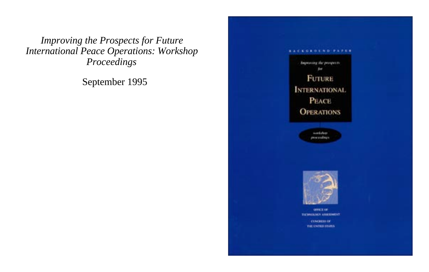*Improving the Prospects for Future International Peace Operations: Workshop Proceedings*

September 1995

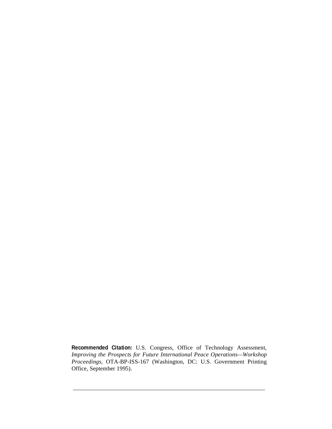**Recommended Citation:** U.S. Congress, Office of Technology Assessment, *Improving the Prospects for Future International Peace Operations—Workshop Proceedings,* OTA-BP-ISS-167 (Washington, DC: U.S. Government Printing Office, September 1995).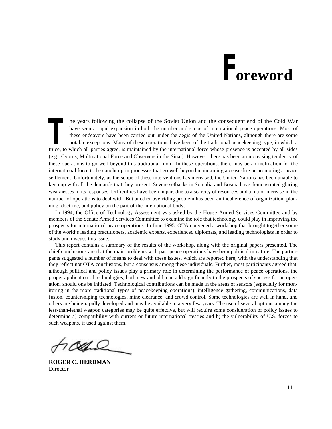# **Foreword**

he years following the collapse of the Soviet Union and the consequent end of the Cold War have seen a rapid expansion in both the number and scope of international peace operations. Most of these endeavors have been carried out under the aegis of the United Nations, although there are some notable exceptions. Many of these operations have been of the traditional peacekeeping type, in which a The years following the collapse of the Soviet Union and the consequent end of the Cold War<br>have seen a rapid expansion in both the number and scope of international peace operations. Most of<br>these endeavors have been carr (e.g., Cyprus, Multinational Force and Observers in the Sinai). However, there has been an increasing tendency of these operations to go well beyond this traditional mold. In these operations, there may be an inclination for the international force to be caught up in processes that go well beyond maintaining a cease-fire or promoting a peace settlement. Unfortunately, as the scope of these interventions has increased, the United Nations has been unable to keep up with all the demands that they present. Severe setbacks in Somalia and Bosnia have demonstrated glaring weaknesses in its responses. Difficulties have been in part due to a scarcity of resources and a major increase in the number of operations to deal with. But another overriding problem has been an incoherence of organization, planning, doctrine, and policy on the part of the international body.

In 1994, the Office of Technology Assessment was asked by the House Armed Services Committee and by members of the Senate Armed Services Committee to examine the role that technology could play in improving the prospects for international peace operations. In June 1995, OTA convened a workshop that brought together some of the world's leading practitioners, academic experts, experienced diplomats, and leading technologists in order to study and discuss this issue.

This report contains a summary of the results of the workshop, along with the original papers presented. The chief conclusions are that the main problems with past peace operations have been political in nature. The participants suggested a number of means to deal with these issues, which are reported here, with the understanding that they reflect not OTA conclusions, but a consensus among these individuals. Further, most participants agreed that, although political and policy issues play a primary role in determining the performance of peace operations, the proper application of technologies, both new and old, can add significantly to the prospects of success for an operation, should one be initiated. Technological contributions can be made in the areas of sensors (especially for monitoring in the more traditional types of peacekeeping operations), intelligence gathering, communications, data fusion, countersniping technologies, mine clearance, and crowd control. Some technologies are well in hand, and others are being rapidly developed and may be available in a very few years. The use of several options among the less-than-lethal weapon categories may be quite effective, but will require some consideration of policy issues to determine a) compatibility with current or future international treaties and b) the vulnerability of U.S. forces to such weapons, if used against them.

**ROGER C. HERDMAN** Director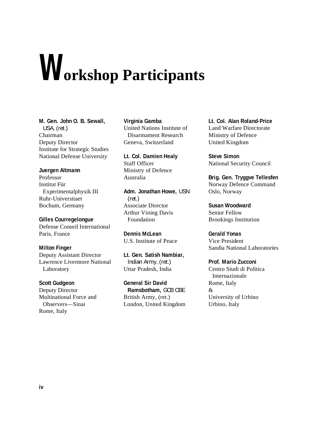# **Workshop Participants**

**M. Gen. John O. B. Sewall,**  USA, (ret.) Chairman Deputy Director Institute for Strategic Studies National Defense University

### **Juergen Altmann**

Professor Institut Für Experimentalphysik III Ruhr-Universitaet Bochum, Germany

**Gilles Courregelongue** Defense Conseil International Paris, France

### **Milton Finger**

Deputy Assistant Director Lawrence Livermore National Laboratory

### **Scott Gudgeon**

Deputy Director Multinational Force and Observers—Sinai Rome, Italy

### **Virginia Gamba**

United Nations Institute of Disarmament Research Geneva, Switzerland

**Lt. Col. Damien Healy** Staff Officer Ministry of Defence Australia

**Adm. Jonathan Howe,** USN (ret.) Associate Director Arthur Vining Davis Foundation

**Dennis McLean** U.S. Institute of Peace

**Lt. Gen. Satish Nambiar,**  Indian Army, (ret.) Uttar Pradesh, India

**General Sir David Ramsbotham,** GCB CBE British Army, (ret.) London, United Kingdom **Lt. Col. Alan Roland-Price** Land Warfare Directorate Ministry of Defence United Kingdom

**Steve Simon** National Security Council

**Brig. Gen. Tryggve Tellesfen** Norway Defence Command Oslo, Norway

**Susan Woodward** Senior Fellow Brookings Institution

**Gerald Yonas** Vice President Sandia National Laboratories

**Prof. Mario Zucconi** Centro Studi di Politica Internazionale Rome, Italy & University of Urbino Urbino, Italy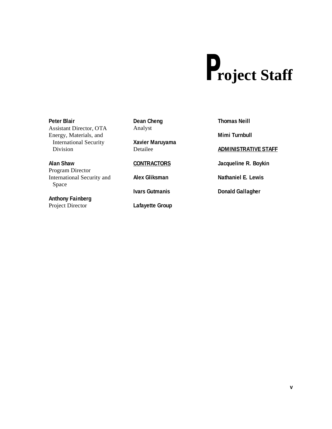# **Project Staff**

### **Peter Blair** Assistant Director, OTA Energy, Materials, and International Security Division

**Alan Shaw** Program Director International Security and Space

**Anthony Fainberg** Project Director

**Dean Cheng** Analyst

**Xavier Maruyama** Detailee

### **CONTRACTORS**

**Alex Gliksman**

**Ivars Gutmanis**

**Lafayette Group**

**Thomas Neill**

**Mimi Turnbull**

### **ADMINISTRATIVE STAFF**

**Jacqueline R. Boykin**

**Nathaniel E. Lewis**

**Donald Gallagher**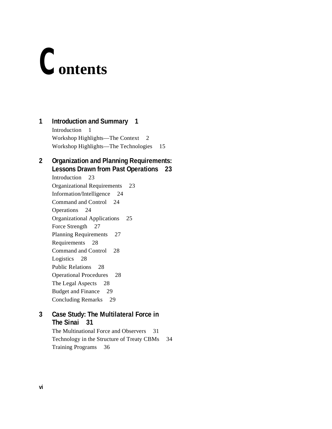# **Contents**

# **1 Introduction and Summary 1**

Introduction 1 Workshop Highlights—The Context 2 Workshop Highlights—The Technologies 15

# **2 Organization and Planning Requirements: Lessons Drawn from Past Operations 23**

Introduction 23 Organizational Requirements 23 Information/Intelligence 24 Command and Control 24 Operations 24 Organizational Applications 25 Force Strength 27 Planning Requirements 27 Requirements 28 Command and Control 28 Logistics 28 Public Relations 28 Operational Procedures 28 The Legal Aspects 28 Budget and Finance 29 Concluding Remarks 29

## **3 Case Study: The Multilateral Force in The Sinai 31**

The Multinational Force and Observers 31 Technology in the Structure of Treaty CBMs 34 Training Programs 36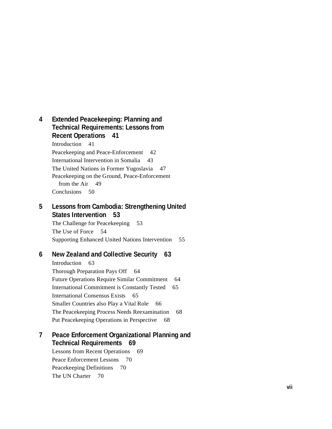**4 Extended Peacekeeping: Planning and Technical Requirements: Lessons from Recent Operations 41** Introduction 41 Peacekeeping and Peace-Enforcement 42 International Intervention in Somalia 43 The United Nations in Former Yugoslavia 47 Peacekeeping on the Ground, Peace-Enforcement from the Air 49 Conclusions 50

# **5 Lessons from Cambodia: Strengthening United States Intervention 53**

The Challenge for Peacekeeping 53 The Use of Force 54 Supporting Enhanced United Nations Intervention 55

## **6 New Zealand and Collective Security 63**

Introduction 63 Thorough Preparation Pays Off 64 Future Operations Require Similar Commitment 64 International Commitment is Constantly Tested 65 International Consensus Exists 65 Smaller Countries also Play a Vital Role 66 The Peacekeeping Process Needs Reexamination 68 Put Peacekeeping Operations in Perspective 68

## **7 Peace Enforcement Organizational Planning and Technical Requirements 69**

Lessons from Recent Operations 69 Peace Enforcement Lessons 70 Peacekeeping Definitions 70 The UN Charter 70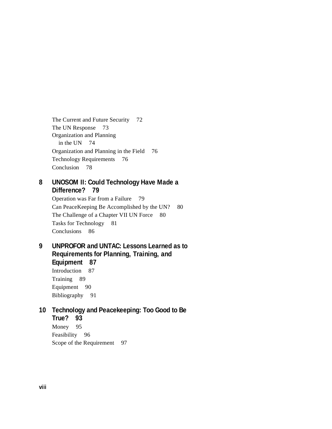The Current and Future Security 72 The UN Response 73 Organization and Planning in the UN 74 Organization and Planning in the Field 76 Technology Requirements 76 Conclusion 78

# **8 UNOSOM II: Could Technology Have Made a Difference? 79**

Operation was Far from a Failure 79 Can PeaceKeeping Be Accomplished by the UN? 80 The Challenge of a Chapter VII UN Force 80 Tasks for Technology 81 Conclusions 86

**9 UNPROFOR and UNTAC: Lessons Learned as to Requirements for Planning, Training, and Equipment 87** Introduction 87 Training 89 Equipment 90 Bibliography 91

# **10 Technology and Peacekeeping: Too Good to Be True? 93** Money 95 Feasibility 96 Scope of the Requirement 97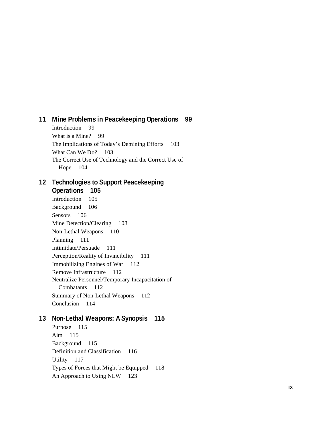# **11 Mine Problems in Peacekeeping Operations 99**

Introduction 99 What is a Mine? 99 The Implications of Today's Demining Efforts 103 What Can We Do? 103 The Correct Use of Technology and the Correct Use of Hope 104

# **12 Technologies to Support Peacekeeping Operations 105**

Introduction 105 Background 106 Sensors 106 Mine Detection/Clearing 108 Non-Lethal Weapons 110 Planning 111 Intimidate/Persuade 111 Perception/Reality of Invincibility 111 Immobilizing Engines of War 112 Remove Infrastructure 112 Neutralize Personnel/Temporary Incapacitation of Combatants 112 Summary of Non-Lethal Weapons 112 Conclusion 114

# **13 Non-Lethal Weapons: A Synopsis 115**

Purpose 115 Aim 115 Background 115 Definition and Classification 116 Utility 117 Types of Forces that Might be Equipped 118 An Approach to Using NLW 123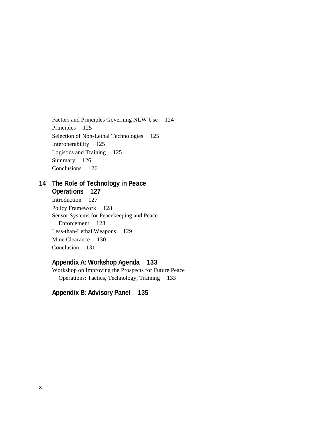Factors and Principles Governing NLW Use 124 Principles 125 Selection of Non-Lethal Technologies 125 Interoperability 125 Logistics and Training 125 Summary 126 Conclusions 126

# **14 The Role of Technology in Peace Operations 127**

Introduction 127 Policy Framework 128 Sensor Systems for Peacekeeping and Peace Enforcement 128 Less-than-Lethal Weapons 129 Mine Clearance 130 Conclusion 131

# **Appendix A: Workshop Agenda 133**

Workshop on Improving the Prospects for Future Peace Operations: Tactics, Technology, Training 133

**Appendix B: Advisory Panel 135**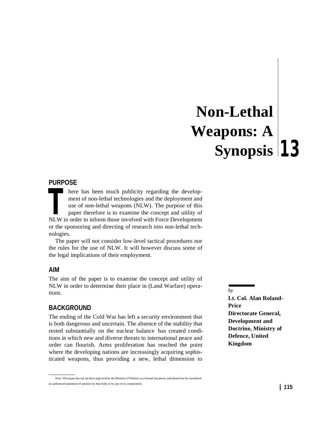# **13 Synopsis Non-Lethal Weapons: A**

### **PURPOSE**

here has been much publicity regarding the development of non-lethal technologies and the deployment and use of non-lethal weapons (NLW). The purpose of this paper therefore is to examine the concept and utility of There has been much publicity regarding the development of non-lethal technologies and the deployment and use of non-lethal weapons (NLW). The purpose of this paper therefore is to examine the concept and utility of NLW in or the sponsoring and directing of research into non-lethal technologies.

The paper will not consider low-level tactical procedures nor the rules for the use of NLW. It will however discuss some of the legal implications of their employment.

### **AIM**

The aim of the paper is to examine the concept and utility of NLW in order to determine their place in (Land Warfare) operations.

### **BACKGROUND**

The ending of the Cold War has left a security environment that is both dangerous and uncertain. The absence of the stability that rested substantially on the nuclear balance has created conditions in which new and diverse threats to international peace and order can flourish. Arms proliferation has reached the point where the developing nations are increasingly acquiring sophisticated weapons, thus providing a new, lethal dimension to

**Lt. Col. Alan Roland-Price Directorate General, Development and Doctrine, Ministry of Defence, United Kingdom**

*by*

Note: This paper has not yet been approved by the Ministry of Defence as a formal document, and should not be considered an authorized statement of position by that body or by any of its components.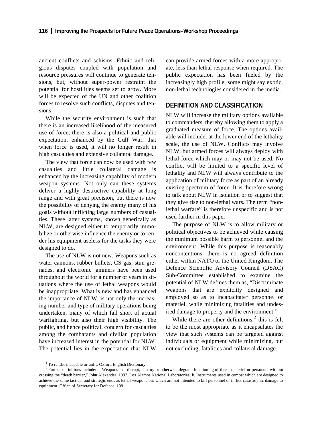ancient conflicts and schisms. Ethnic and religious disputes coupled with population and resource pressures will continue to generate tensions, but, without super-power restraint the potential for hostilities seems set to grow. More will be expected of the UN and other coalition forces to resolve such conflicts, disputes and tensions.

While the security environment is such that there is an increased likelihood of the measured use of force, there is also a political and public expectation, enhanced by the Gulf War, that when force is used, it will no longer result in high casualties and extensive collateral damage.

The view that force can now be used with few casualties and little collateral damage is enhanced by the increasing capability of modern weapon systems. Not only can these systems deliver a highly destructive capability at long range and with great precision, but there is now the possibility of denying the enemy many of his goals without inflicting large numbers of casualties. These latter systems, known generically as NLW, are designed either to temporarily immobilize or otherwise influence the enemy or to render his equipment useless for the tasks they were designed to do.

The use of NLW is not new. Weapons such as water cannons, rubber bullets, CS gas, stun grenades, and electronic jammers have been used throughout the world for a number of years in situations where the use of lethal weapons would be inappropriate. What is new and has enhanced the importance of NLW, is not only the increasing number and type of military operations being undertaken, many of which fall short of actual warfighting, but also their high visibility. The public, and hence political, concern for casualties among the combatants and civilian population have increased interest in the potential for NLW. The potential lies in the expectation that NLW

can provide armed forces with a more appropriate, less than lethal response when required. The public expectation has been fueled by the increasingly high profile, some might say exotic, non-lethal technologies considered in the media.

### **DEFINITION AND CLASSIFICATION**

NLW will increase the military options available to commanders, thereby allowing them to apply a graduated measure of force. The options available will include, at the lower end of the lethality scale, the use of NLW. Conflicts may involve NLW, but armed forces will always deploy with lethal force which may or may not be used. No conflict will be limited to a specific level of lethality and NLW will always contribute to the application of military force as part of an already existing spectrum of force. It is therefore wrong to talk about NLW in isolation or to suggest that they give rise to non-lethal wars. The term "nonlethal warfare" is therefore unspecific and is not used further in this paper.

The purpose of NLW is to allow military or political objectives to be achieved while causing the minimum possible harm to personnel and the environment. While this purpose is reasonably noncontentious, there is no agreed definition either within NATO or the United Kingdom. The Defence Scientific Advisory Council (DSAC) Sub-Committee established to examine the potential of NLW defines them as, "Discriminate weapons that are explicitly designed and employed so as to incapacitate<sup>1</sup> personnel or materiel, while minimizing fatalities and undesired damage to property and the environment."

While there are other definitions, $<sup>2</sup>$  this is felt</sup> to be the most appropriate as it encapsulates the view that such systems can be targeted against individuals or equipment while minimizing, but not excluding, fatalities and collateral damage.

<sup>1</sup> To render incapable or unfit. Oxford English Dictionary.

<sup>&</sup>lt;sup>2</sup> Further definitions include: a. Weapons that disrupt, destroy or otherwise degrade functioning of threat materiel or personnel without crossing the "death barrier," John Alexander, 1993, Los Alamos National Laboratories; b. Instruments used in combat which are designed to achieve the same tactical and strategic ends as lethal weapons but which are not intended to kill personnel or inflict catastrophic damage to equipment. Office of Secretary for Defence, 1991.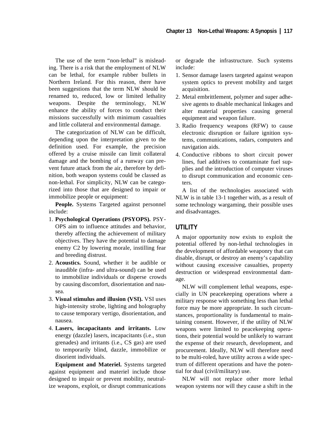The use of the term "non-lethal" is misleading. There is a risk that the employment of NLW can be lethal, for example rubber bullets in Northern Ireland. For this reason, there have been suggestions that the term NLW should be renamed to, reduced, low or limited lethality weapons. Despite the terminology, NLW enhance the ability of forces to conduct their missions successfully with minimum casualties and little collateral and environmental damage.

The categorization of NLW can be difficult, depending upon the interpretation given to the definition used. For example, the precision offered by a cruise missile can limit collateral damage and the bombing of a runway can prevent future attack from the air, therefore by definition, both weapon systems could be classed as non-lethal. For simplicity, NLW can be categorized into those that are designed to impair or immobilize people or equipment:

**People.** Systems Targeted against personnel include:

- 1. **Psychological Operations (PSYOPS).** PSY-OPS aim to influence attitudes and behavior, thereby affecting the achievement of military objectives. They have the potential to damage enemy C2 by lowering morale, instilling fear and breeding distrust.
- 2. **Acoustics.** Sound, whether it be audible or inaudible (infra- and ultra-sound) can be used to immobilize individuals or disperse crowds by causing discomfort, disorientation and nausea.
- 3. **Visual stimulus and illusion (VSI).** VSI uses high-intensity strobe, lighting and holography to cause temporary vertigo, disorientation, and nausea.
- 4. **Lasers, incapacitants and irritants.** Low energy (dazzle) lasers, incapacitants (i.e., stun grenades) and irritants (i.e., CS gas) are used to temporarily blind, dazzle, immobilize or disorient individuals.

**Equipment and Materiel.** Systems targeted against equipment and materiel include those designed to impair or prevent mobility, neutralize weapons, exploit, or disrupt communications or degrade the infrastructure. Such systems include:

- 1. Sensor damage lasers targeted against weapon system optics to prevent mobility and target acquisition.
- 2. Metal embrittlement, polymer and super adhesive agents to disable mechanical linkages and alter material properties causing general equipment and weapon failure.
- 3. Radio frequency weapons (RFW) to cause electronic disruption or failure ignition systems, communications, radars, computers and navigation aids.
- 4. Conductive ribbons to short circuit power lines, fuel additives to contaminate fuel supplies and the introduction of computer viruses to disrupt communication and economic centers.

A list of the technologies associated with NLW is in table 13-1 together with, as a result of some technology wargaming, their possible uses and disadvantages.

# **UTILITY**

A major opportunity now exists to exploit the potential offered by non-lethal technologies in the development of affordable weaponry that can disable, disrupt, or destroy an enemy's capability without causing excessive casualties, property destruction or widespread environmental damage.

NLW will complement lethal weapons, especially in UN peacekeeping operations where a military response with something less than lethal force may be more appropriate. In such circumstances, proportionality is fundamental to maintaining consent. However, if the utility of NLW weapons were limited to peacekeeping operations, their potential would be unlikely to warrant the expense of their research, development, and procurement. Ideally, NLW will therefore need to be multi-roled, have utility across a wide spectrum of different operations and have the potential for dual (civil/military) use.

NLW will not replace other more lethal weapon systems nor will they cause a shift in the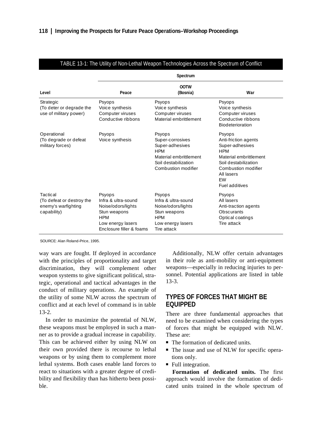|                                                                             | Spectrum                                                                                                                           |                                                                                                                                      |                                                                                                                                                                                       |  |
|-----------------------------------------------------------------------------|------------------------------------------------------------------------------------------------------------------------------------|--------------------------------------------------------------------------------------------------------------------------------------|---------------------------------------------------------------------------------------------------------------------------------------------------------------------------------------|--|
| Level                                                                       | Peace                                                                                                                              | 00TW<br>(Bosnia)                                                                                                                     | War                                                                                                                                                                                   |  |
| Strategic<br>(To deter or degrade the<br>use of military power)             | Psyops<br>Voice synthesis<br>Computer viruses<br>Conductive ribbons                                                                | Psyops<br>Voice synthesis<br>Computer viruses<br>Material embrittlement                                                              | Psyops<br>Voice synthesis<br>Computer viruses<br>Conductive ribbons<br><b>Biodeterioration</b>                                                                                        |  |
| Operational<br>(To degrade or defeat<br>military forces)                    | Psyops<br>Voice synthesis                                                                                                          | Psyops<br>Super-corrosives<br>Super-adhesives<br><b>HPM</b><br>Material embrittlement<br>Soil destabilization<br>Combustion modifier | Psyops<br>Anti-friction agents<br>Super-adhesives<br><b>HPM</b><br>Material embrittlement<br>Soil destabilization<br>Combustion modifier<br>All lasers<br><b>FW</b><br>Fuel additives |  |
| Tactical<br>(To defeat or destroy the<br>enemy's warfighting<br>capability) | Psyops<br>Infra & ultra-sound<br>Noise/odors/lights<br>Stun weapons<br><b>HPM</b><br>Low energy lasers<br>Enclosure filler & foams | Psyops<br>Infra & ultra-sound<br>Noise/odors/lights<br>Stun weapons<br><b>HPM</b><br>Low energy lasers<br>Tire attack                | Psyops<br>All lasers<br>Anti-traction agents<br><b>Obscurants</b><br>Optical coatings<br>Tire attack                                                                                  |  |

### TABLE 13-1: The Utility of Non-Lethal Weapon Technologies Across the Spectrum of Conflict

SOURCE: Alan Roland-Price, 1995.

way wars are fought. If deployed in accordance with the principles of proportionality and target discrimination, they will complement other weapon systems to give significant political, strategic, operational and tactical advantages in the conduct of military operations. An example of the utility of some NLW across the spectrum of conflict and at each level of command is in table 13-2.

In order to maximize the potential of NLW, these weapons must be employed in such a manner as to provide a gradual increase in capability. This can be achieved either by using NLW on their own provided there is recourse to lethal weapons or by using them to complement more lethal systems. Both cases enable land forces to react to situations with a greater degree of credibility and flexibility than has hitherto been possible.

Additionally, NLW offer certain advantages in their role as anti-mobility or anti-equipment weapons—especially in reducing injuries to personnel. Potential applications are listed in table 13-3.

### **TYPES OF FORCES THAT MIGHT BE EQUIPPED**

There are three fundamental approaches that need to be examined when considering the types of forces that might be equipped with NLW. These are:

- The formation of dedicated units.
- The issue and use of NLW for specific operations only.
- Full integration.

**Formation of dedicated units.** The first approach would involve the formation of dedicated units trained in the whole spectrum of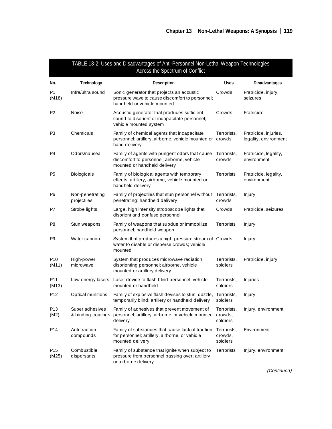| TABLE 13-2: Uses and Disadvantages of Anti-Personnel Non-Lethal Weapon Technologies<br>Across the Spectrum of Conflict |                                       |                                                                                                                              |                                    |                                                |
|------------------------------------------------------------------------------------------------------------------------|---------------------------------------|------------------------------------------------------------------------------------------------------------------------------|------------------------------------|------------------------------------------------|
| No.                                                                                                                    | Technology                            | Description                                                                                                                  | <b>Uses</b>                        | <b>Disadvantages</b>                           |
| P1<br>(M18)                                                                                                            | Infra/ultra sound                     | Sonic generator that projects an acoustic<br>pressure wave to cause discomfort to personnel;<br>handheld or vehicle mounted  | Crowds                             | Fratricide, injury,<br>seizures                |
| P <sub>2</sub>                                                                                                         | Noise                                 | Acoustic generator that produces sufficient<br>sound to disorient or incapacitate personnel;<br>vehicle mounted system       | Crowds                             | Fratricide                                     |
| P3                                                                                                                     | Chemicals                             | Family of chemical agents that incapacitate<br>personnel; artillery, airborne, vehicle mounted or crowds<br>hand delivery    | Terrorists.                        | Fratricide, injuries,<br>legality, environment |
| P <sub>4</sub>                                                                                                         | Odors/nausea                          | Family of agents with pungent odors that cause<br>discomfort to personnel; airborne, vehicle<br>mounted or handheld delivery | Terrorists,<br>crowds              | Fratricide, legality,<br>environment           |
| P <sub>5</sub>                                                                                                         | Biologicals                           | Family of biological agents with temporary<br>effects; artillery, airborne, vehicle mounted or<br>handheld delivery          | Terrorists                         | Fratricide, legality,<br>environment           |
| P6                                                                                                                     | Non-penetrating<br>projectiles        | Family of projectiles that stun personnel without<br>penetrating; handheld delivery                                          | Terrorists,<br>crowds              | Injury                                         |
| P7                                                                                                                     | Strobe lights                         | Large, high intensity stroboscope lights that<br>disorient and confuse personnel                                             | Crowds                             | Fratricide, seizures                           |
| P <sub>8</sub>                                                                                                         | Stun weapons                          | Family of weapons that subdue or immobilize<br>personnel; handheld weapon                                                    | Terrorists                         | Injury                                         |
| P <sub>9</sub>                                                                                                         | Water cannon                          | System that produces a high-pressure stream of Crowds<br>water to disable or disperse crowds; vehicle<br>mounted             |                                    | Injury                                         |
| P <sub>10</sub><br>(M11)                                                                                               | High-power<br>microwave               | System that produces microwave radiation,<br>disorienting personnel; airborne, vehicle<br>mounted or artillery delivery      | Terrorists,<br>soldiers            | Fratricide, injury                             |
| P11<br>(M13)                                                                                                           | Low-energy lasers                     | Laser device to flash blind personnel; vehicle<br>mounted or handheld                                                        | Terrorists,<br>soldiers            | Injuries                                       |
| P12                                                                                                                    | Optical munitions                     | Family of explosive flash devises to stun, dazzle,<br>temporarily blind; artillery or handheld delivery                      | Terrorists,<br>soldiers            | Injury                                         |
| P13<br>(M2)                                                                                                            | Super adhesives<br>& binding coatings | Family of adhesives that prevent movement of<br>personnel; artillery, airborne, or vehicle mounted<br>delivery               | Terrorists,<br>crowds,<br>soldiers | Injury, environment                            |
| P14                                                                                                                    | Anti-traction<br>compounds            | Family of substances that cause lack of traction<br>for personnel; artillery, airborne, or vehicle<br>mounted delivery       | Terrorists,<br>crowds,<br>soldiers | Environment                                    |
| P <sub>15</sub><br>(M25)                                                                                               | Combustible<br>dispersants            | Family of substance that ignite when subject to<br>pressure from personnel passing over; artillery<br>or airborne delivery   | Terrorists                         | Injury, environment                            |

(Continued)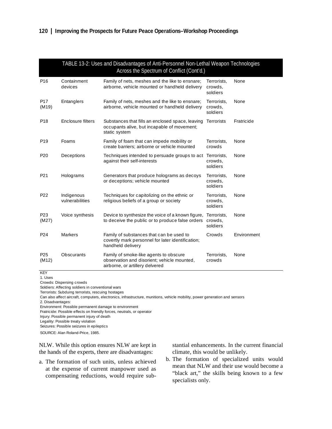| TABLE 13-2: Uses and Disadvantages of Anti-Personnel Non-Lethal Weapon Technologies<br>Across the Spectrum of Conflict (Cont'd.) |                               |                                                                                                                          |                                    |             |
|----------------------------------------------------------------------------------------------------------------------------------|-------------------------------|--------------------------------------------------------------------------------------------------------------------------|------------------------------------|-------------|
| P <sub>16</sub>                                                                                                                  | Containment<br>devices        | Family of nets, meshes and the like to ensnare;<br>airborne, vehicle mounted or handheld delivery                        | Terrorists,<br>crowds,<br>soldiers | None        |
| P <sub>17</sub><br>(M19)                                                                                                         | Entanglers                    | Family of nets, meshes and the like to ensnare;<br>airborne, vehicle mounted or handheld delivery                        | Terrorists,<br>crowds,<br>soldiers | None        |
| P18                                                                                                                              | Enclosure filters             | Substances that fills an enclosed space, leaving<br>occupants alive, but incapable of movement;<br>static system         | Terrorists                         | Fratricide  |
| P <sub>19</sub>                                                                                                                  | Foams                         | Family of foam that can impede mobility or<br>create barriers: airborne or vehicle mounted                               | Terrorists,<br>crowds              | None        |
| P <sub>20</sub>                                                                                                                  | Deceptions                    | Techniques intended to persuade groups to act Terrorists,<br>against their self-interests                                | crowds,<br>soldiers                | None        |
| P21                                                                                                                              | Holograms                     | Generators that produce holograms as decoys<br>or deceptions; vehicle mounted                                            | Terrorists,<br>crowds,<br>soldiers | None        |
| P <sub>22</sub>                                                                                                                  | Indigenous<br>vulnerabilities | Techniques for capitolizing on the ethnic or<br>religious beliefs of a group or society                                  | Terrorists,<br>crowds,<br>soldiers | None        |
| P <sub>23</sub><br>(M27)                                                                                                         | Voice synthesis               | Device to synthesize the voice of a known figure,<br>to deceive the public or to produce false orders                    | Terrorists,<br>crowds,<br>soldiers | None        |
| P <sub>24</sub>                                                                                                                  | Markers                       | Family of substances that can be used to<br>covertly mark personnel for later identification;<br>handheld delivery       | Crowds                             | Environment |
| P <sub>25</sub><br>(M12)                                                                                                         | Obscurants                    | Family of smoke-like agents to obscure<br>observation and disorient; vehicle mounted,<br>airborne, or artillery delvered | Terrorists,<br>crowds              | None        |

KEY

1. Uses

Crowds: Dispersing crowds

Soldiers: Affecting soldiers in conventional wars

Terrorists: Subduing terrorists, rescuing hostages

Can also affect aircraft, computers, electronics, infrastructure, munitions, vehicle mobility, power generation and sensors 2. Disadvantages:

Environment: Possible permanent damage to environment Fratricide: Possible effects on friendly forces, neutrals, or operator

Injury: Possible permanent injury of death

Legality: Possible treaty violation

Seizures: Possible seizures in epileptics

SOURCE: Alan Roland-Price, 1985.

NLW. While this option ensures NLW are kept in the hands of the experts, there are disadvantages:

a. The formation of such units, unless achieved at the expense of current manpower used as compensating reductions, would require substantial enhancements. In the current financial climate, this would be unlikely.

b. The formation of specialized units would mean that NLW and their use would become a "black art," the skills being known to a few specialists only.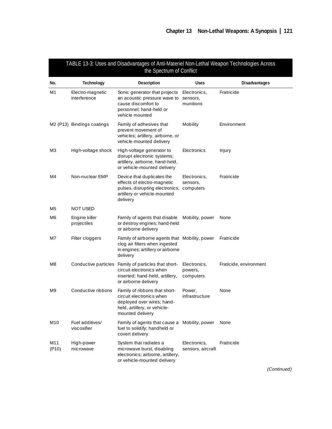| TABLE 13-3: Uses and Disadvantages of Anti-Materiel Non-Lethal Weapon Technologies Across<br>the Spectrum of Conflict |                                  |                                                                                                                                             |                                       |                        |
|-----------------------------------------------------------------------------------------------------------------------|----------------------------------|---------------------------------------------------------------------------------------------------------------------------------------------|---------------------------------------|------------------------|
| No.                                                                                                                   | <b>Technology</b>                | Description                                                                                                                                 | Uses                                  | <b>Disadvantages</b>   |
| M1                                                                                                                    | Electro-magnetic<br>interference | Sonic generator that projects<br>an acoustic pressure wave to<br>cause discomfort to<br>personnel; hand-held or<br>vehicle mounted          | Electronics,<br>sensors,<br>munitions | Fratricide             |
|                                                                                                                       | M2 (P13) Bindings coatings       | Family of adhesives that<br>prevent movement of<br>vehicles; artillery, airborne, or<br>vehicle-mounted delivery                            | Mobility                              | Environment            |
| M3                                                                                                                    | High-voltage shock               | High-voltage generator to<br>disrupt electronic systems;<br>artillery, airborne, hand-held,<br>or vehicle-mounted delivery                  | Electronics                           | Injury                 |
| M4                                                                                                                    | Non-nuclear EMP                  | Device that duplicates the<br>effects of electro-magnetic<br>pulses, disrupting electronics;<br>artillery or vehicle-mounted<br>delivery    | Electronics,<br>sensors,<br>computers | Fratricide             |
| M5                                                                                                                    | <b>NOT USED</b>                  |                                                                                                                                             |                                       |                        |
| M6                                                                                                                    | Engine killer<br>projectiles     | Family of agents that disable<br>or destroy engines; hand-held<br>or airborne delivery                                                      | Mobility, power                       | None                   |
| M7                                                                                                                    | Filter cloggers                  | Family of airborne agents that Mobility, power<br>clog air filters when ingested<br>in engines; artillery or airborne<br>delivery           |                                       | Fratricide             |
| M8                                                                                                                    |                                  | Conductive particles Family of particles that short-<br>circuit electronics when<br>inserted; hand-held, artillery,<br>or airborne delivery | Electronics,<br>powers,<br>computers  | Fraticide, environment |
| M9                                                                                                                    | Conductive ribbons               | Family of ribbons that short-<br>circuit electronics when<br>deployed over wires; hand-<br>held, artillery, or vehicle-<br>mounted delivery | Power,<br>infrastructure              | None                   |
| M10                                                                                                                   | Fuel additives/<br>viscosifier   | Family of agents that cause a Mobility, power<br>fuel to solidify; handheld or<br>covert delivery                                           |                                       | None                   |
| M11<br>( P10)                                                                                                         | High-power<br>microwave          | System that radiates a<br>microwave burst, disabling<br>electronics; airborne, artillery,<br>or vehicle-mounted delivery                    | Electronics,<br>sensors, aircraft     | Fratricide             |

(Continued)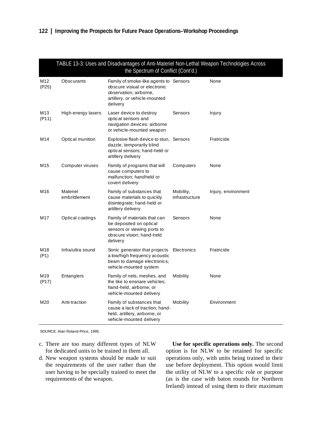| TABLE 13-3: Uses and Disadvantages of Anti-Materiel Non-Lethal Weapon Technologies Across<br>the Spectrum of Conflict (Cont'd.) |                           |                                                                                                                                                |                             |                     |
|---------------------------------------------------------------------------------------------------------------------------------|---------------------------|------------------------------------------------------------------------------------------------------------------------------------------------|-----------------------------|---------------------|
| M12<br>(P25)                                                                                                                    | Obscurants                | Family of smoke-like agents to Sensors<br>obscure visiual or electronic<br>observation; airborne,<br>artillery, or vehicle-mounted<br>delivery |                             | None                |
| M13<br>(P11)                                                                                                                    | High-energy lasers        | Laser device to destroy<br>optical sensors and<br>navigation devices; airborne<br>or vehicle-mounted weapon                                    | Sensors                     | Injury              |
| M14                                                                                                                             | Optical munition          | Explosive flash device to stun, Sensors<br>dazzle, temporarily blind<br>optical sensors; hand-held or<br>artillery delivery                    |                             | Fratricide          |
| M15                                                                                                                             | Computer viruses          | Family of programs that will<br>cause computers to<br>malfunction; handheld or<br>covert delivery                                              | Computers                   | None                |
| M16                                                                                                                             | Materiel<br>embrittlement | Family of substances that<br>cause materials to quickly<br>disintegrate; hand-held or<br>artillery delivery                                    | Mobility,<br>infrastructure | Injury, environment |
| M17                                                                                                                             | Optical coatings          | Family of materials that can<br>be deposited on optical<br>sensors or viewing ports to<br>obscure vision; hand-held<br>delivery                | Sensors                     | None                |
| M18<br>(P1)                                                                                                                     | Infra/ultra sound         | Sonic generator that projects Electronics<br>a low/high frequency acoustic<br>beam to damage electronics;<br>vehicle-mounted system            |                             | Fratricide          |
| M19<br>(P17)                                                                                                                    | Entanglers                | Family of nets, meshes, and<br>the like to ensnare vehicles:<br>hand-held, airborne, or<br>vehicle-mounted delivery                            | Mobility                    | None                |
| M20                                                                                                                             | Anti-traction             | Family of substances that<br>cause a lack of traction; hand-<br>held, artillery, airborne, or<br>vehicle-mounted delivery                      | Mobility                    | Environment         |

SOURCE: Alan Roland-Price, 1995.

- c. There are too many different types of NLW for dedicated units to be trained in them all.
- d. New weapon systems should be made to suit the requirements of the user rather than the user having to be specially trained to meet the requirements of the weapon.

**Use for specific operations only.** The second option is for NLW to be retained for specific operations only, with units being trained in their use before deployment. This option would limit the utility of NLW to a specific role or purpose (as is the case with baton rounds for Northern Ireland) instead of using them to their maximum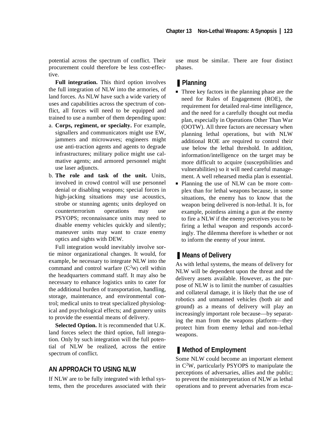potential across the spectrum of conflict. Their procurement could therefore be less cost-effective.

**Full integration.** This third option involves the full integration of NLW into the armories, of land forces. As NLW have such a wide variety of uses and capabilities across the spectrum of conflict, all forces will need to be equipped and trained to use a number of them depending upon:

- a. **Corps, regiment, or specialty.** For example, signallers and communicators might use EW, jammers and microwaves; engineers might use anti-traction agents and agents to degrade infrastructures; military police might use calmative agents; and armored personnel might use laser adjuncts.
- b. **The role and task of the unit.** Units, involved in crowd control will use personnel denial or disabling weapons; special forces in high-jacking situations may use acoustics, strobe or stunning agents; units deployed on counterterrorism operations may use PSYOPS; reconnaissance units may need to disable enemy vehicles quickly and silently; maneuver units may want to craze enemy optics and sights with DEW.

Full integration would inevitably involve sortie minor organizational changes. It would, for example, be necessary to integrate NLW into the command and control warfare  $(C<sup>2</sup>W)$  cell within the headquarters command staff. It may also be necessary to enhance logistics units to cater for the additional burden of transportation, handling, storage, maintenance, and environmental control; medical units to treat specialized physiological and psychological effects; and gunnery units to provide the essential means of delivery.

**Selected Option.** It is recommended that U.K. land forces select the third option, full integration. Only by such integration will the full potential of NLW be realized, across the entire spectrum of conflict.

### **AN APPROACH TO USING NLW**

If NLW are to be fully integrated with lethal systems, then the procedures associated with their

use must be similar. There are four distinct phases.

# ■ **Planning**

- Three key factors in the planning phase are the need for Rules of Engagement (ROE), the requirement for detailed real-time intelligence, and the need for a carefully thought out media plan, especially in Operations Other Than War (OOTW). All three factors are necessary when planning lethal operations, but with NLW additional ROE are required to control their use below the lethal threshold. In addition, information/intelligence on the target may be more difficult to acquire (susceptibilities and vulnerabilities) so it will need careful management. A well rehearsed media plan is essential.
- Planning the use of NLW can be more complex than for lethal weapons because, in some situations, the enemy has to know that the weapon being delivered is non-lethal. It is, for example, pointless aiming a gun at the enemy to fire a NLW if the enemy perceives you to be firing a lethal weapon and responds accordingly. The dilemma therefore is whether or not to inform the enemy of your intent.

### ■ Means of Delivery

As with lethal systems, the means of delivery for NLW will be dependent upon the threat and the delivery assets available. However, as the purpose of NLW is to limit the number of casualties and collateral damage, it is likely that the use of robotics and unmanned vehicles (both air and ground) as a means of delivery will play an increasingly important role because—by separating the man from the weapons platform—they protect him from enemy lethal and non-lethal weapons.

### ■ Method of Employment

Some NLW could become an important element in C2 W, particularly PSYOPS to manipulate the perceptions of adversaries, allies and the public; to prevent the misinterpretation of NLW as lethal operations and to prevent adversaries from esca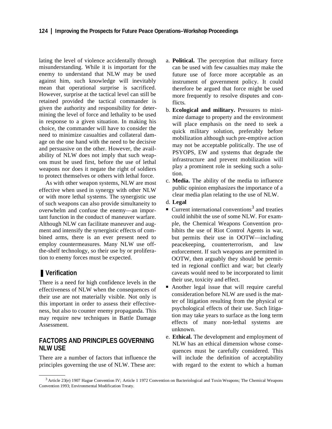lating the level of violence accidentally through misunderstanding. While it is important for the enemy to understand that NLW may be used against him, such knowledge will inevitably mean that operational surprise is sacrificed. However, surprise at the tactical level can still be retained provided the tactical commander is given the authority and responsibility for determining the level of force and lethality to be used in response to a given situation. In making his choice, the commander will have to consider the need to minimize casualties and collateral damage on the one hand with the need to be decisive and persuasive on the other. However, the availability of NLW does not imply that such weapons must be used first, before the use of lethal weapons nor does it negate the right of soldiers to protect themselves or others with lethal force.

As with other weapon systems, NLW are most effective when used in synergy with other NLW or with more lethal systems. The synergistic use of such weapons can also provide simultaneity to overwhelm and confuse the enemy—an important function in the conduct of maneuver warfare. Although NLW can facilitate maneuver and augment and intensify the synergistic effects of combined arms, there is an ever present need to employ countermeasures. Many NLW use offthe-shelf technology, so their use by or proliferation to enemy forces must be expected.

### ■ **Verification**

There is a need for high confidence levels in the effectiveness of NLW when the consequences of their use are not materially visible. Not only is this important in order to assess their effectiveness, but also to counter enemy propaganda. This may require new techniques in Battle Damage Assessment.

### **FACTORS AND PRINCIPLES GOVERNING NLW USE**

There are a number of factors that influence the principles governing the use of NLW. These are:

- a. **Political.** The perception that military force can be used with few casualties may make the future use of force more acceptable as an instrument of government policy. It could therefore be argued that force might be used more frequently to resolve disputes and conflicts.
- b. **Ecological and military.** Pressures to minimize damage to property and the environment will place emphasis on the need to seek a quick military solution, preferably before mobilization although such pre-emptive action may not be acceptable politically. The use of PSYOPS, EW and systems that degrade the infrastructure and prevent mobilization will play a prominent role in seeking such a solution.
- c. **Media.** The ability of the media to influence public opinion emphasizes the importance of a clear media plan relating to the use of NLW.
- d. **Legal**
- Current international conventions<sup>3</sup> and treaties could inhibit the use of some NLW. For example, the Chemical Weapons Convention prohibits the use of Riot Control Agents in war, but permits their use in OOTW—including peacekeeping, counterterrorism, and law enforcement. If such weapons are permitted in OOTW, then arguably they should be permitted in regional conflict and war; but clearly caveats would need to be incorporated to limit their use, toxicity and effect.
- Another legal issue that will require careful consideration before NLW are used is the matter of litigation resulting from the physical or psychological effects of their use. Such litigation may take years to surface as the long term effects of many non-lethal systems are unknown.
- e. **Ethical.** The development and employment of NLW has an ethical dimension whose consequences must be carefully considered. This will include the definition of acceptability with regard to the extent to which a human

<sup>3</sup> Article 23(e) 1907 Hague Convention IV; Article 1 1972 Convention on Bacteriological and Toxin Weapons; The Chemical Weapons Convention 1993; Environmental Modification Treaty.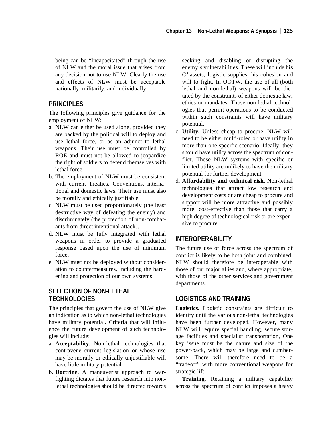being can be "Incapacitated" through the use of NLW and the moral issue that arises from any decision not to use NLW. Clearly the use and effects of NLW must be acceptable nationally, militarily, and individually.

# **PRINCIPLES**

The following principles give guidance for the employment of NLW:

- a. NLW can either be used alone, provided they are backed by the political will to deploy and use lethal force, or as an adjunct to lethal weapons. Their use must be controlled by ROE and must not be allowed to jeopardize the right of soldiers to defend themselves with lethal force.
- b. The employment of NLW must be consistent with current Treaties, Conventions, international and domestic laws. Their use must also be morally and ethically justifiable.
- c. NLW must be used proportionately (the least destructive way of defeating the enemy) and discriminately (the protection of non-combatants from direct intentional attack).
- d. NLW must be fully integrated with lethal weapons in order to provide a graduated response based upon the use of minimum force.
- e. NLW must not be deployed without consideration to countermeasures, including the hardening and protection of our own systems.

# **SELECTION OF NON-LETHAL TECHNOLOGIES**

The principles that govern the use of NLW give an indication as to which non-lethal technologies have military potential. Criteria that will influence the future development of such technologies will include:

- a. **Acceptability.** Non-lethal technologies that contravene current legislation or whose use may be morally or ethically unjustifiable will have little military potential.
- b. **Doctrine.** A maneuverist approach to warfighting dictates that future research into nonlethal technologies should be directed towards

seeking and disabling or disrupting the enemy's vulnerabilities. These will include his C3 assets, logistic supplies, his cohesion and will to fight. In OOTW, the use of all (both lethal and non-lethal) weapons will be dictated by the constraints of either domestic law, ethics or mandates. Those non-lethal technologies that permit operations to be conducted within such constraints will have military potential.

- c. **Utility.** Unless cheap to procure, NLW will need to be either multi-roled or have utility in more than one specific scenario. Ideally, they should have utility across the spectrum of conflict. Those NLW systems with specific or limited utility are unlikely to have the military potential for further development.
- d. **Affordability and technical risk.** Non-lethal technologies that attract low research and development costs or are cheap to procure and support will be more attractive and possibly more, cost-effective than those that carry a high degree of technological risk or are expensive to procure.

# **INTEROPERABILITY**

The future use of force across the spectrum of conflict is likely to be both joint and combined. NLW should therefore be interoperable with those of our major allies and, where appropriate, with those of the other services and government departments.

## **LOGISTICS AND TRAINING**

**Logistics.** Logistic constraints are difficult to identify until the various non-lethal technologies have been further developed. However, many NLW will require special handling, secure storage facilities and specialist transportation, One key issue must be the nature and size of the power-pack, which may be large and cumbersome. There will therefore need to be a "tradeoff" with more conventional weapons for strategic lift.

**Training.** Retaining a military capability across the spectrum of conflict imposes a heavy